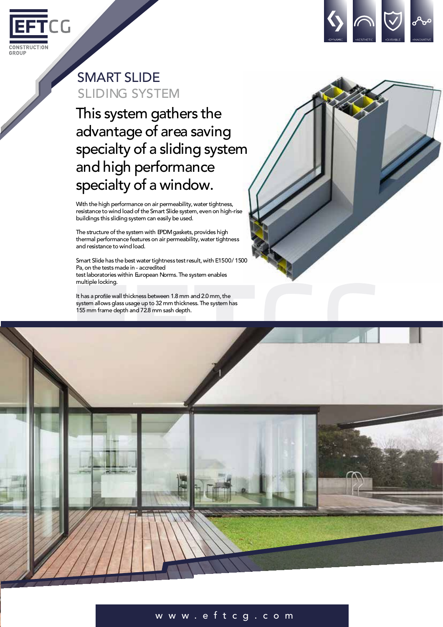



## SMART SLIDE SLIDING SYSTEM

This system gathers the advantage of area saving specialty of a sliding system and high performance specialty of a window.

With the high performance on air permeability, water tightness, resistance to wind load of the Smart Slide system, even on high-rise buildings this sliding system can easily be used.

The structure of the system with EPDM gaskets, provides high thermal performance features on air permeability, water tightness and resistance to wind load.

Smart Slide has the best water tightness test result, with E1500/1500 Pa,on the tests made in - accredited test laboratories within European Norms. The system enables multiple locking.

It has a profile wall thickness between 1.8 mm and 2.0 mm, the system allows glass usage up to 32 mm thickness. The system has 155 mm frame depth and 72.8 mm sash depth.



## w w w . e f t c g . c o m